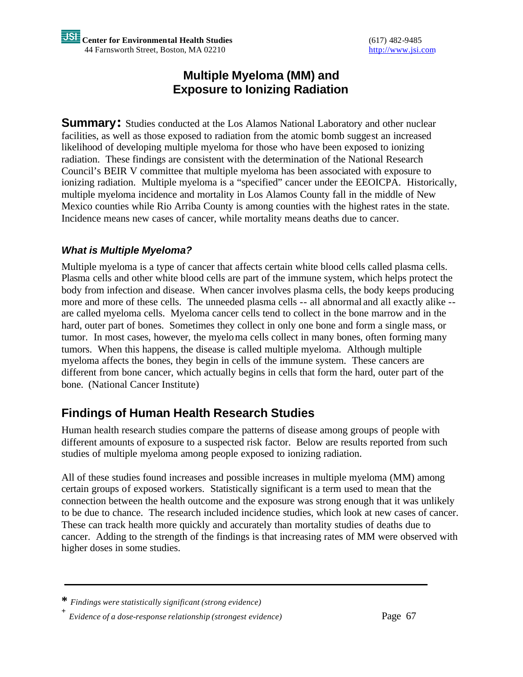## **Multiple Myeloma (MM) and Exposure to Ionizing Radiation**

**Summary:** Studies conducted at the Los Alamos National Laboratory and other nuclear facilities, as well as those exposed to radiation from the atomic bomb suggest an increased likelihood of developing multiple myeloma for those who have been exposed to ionizing radiation. These findings are consistent with the determination of the National Research Council's BEIR V committee that multiple myeloma has been associated with exposure to ionizing radiation. Multiple myeloma is a "specified" cancer under the EEOICPA. Historically, multiple myeloma incidence and mortality in Los Alamos County fall in the middle of New Mexico counties while Rio Arriba County is among counties with the highest rates in the state. Incidence means new cases of cancer, while mortality means deaths due to cancer.

### *What is Multiple Myeloma?*

Multiple myeloma is a type of cancer that affects certain white blood cells called plasma cells. Plasma cells and other white blood cells are part of the immune system, which helps protect the body from infection and disease. When cancer involves plasma cells, the body keeps producing more and more of these cells. The unneeded plasma cells -- all abnormal and all exactly alike - are called myeloma cells. Myeloma cancer cells tend to collect in the bone marrow and in the hard, outer part of bones. Sometimes they collect in only one bone and form a single mass, or tumor. In most cases, however, the myeloma cells collect in many bones, often forming many tumors. When this happens, the disease is called multiple myeloma. Although multiple myeloma affects the bones, they begin in cells of the immune system. These cancers are different from bone cancer, which actually begins in cells that form the hard, outer part of the bone. (National Cancer Institute)

# **Findings of Human Health Research Studies**

Human health research studies compare the patterns of disease among groups of people with different amounts of exposure to a suspected risk factor. Below are results reported from such studies of multiple myeloma among people exposed to ionizing radiation.

All of these studies found increases and possible increases in multiple myeloma (MM) among certain groups of exposed workers. Statistically significant is a term used to mean that the connection between the health outcome and the exposure was strong enough that it was unlikely to be due to chance. The research included incidence studies, which look at new cases of cancer. These can track health more quickly and accurately than mortality studies of deaths due to cancer. Adding to the strength of the findings is that increasing rates of MM were observed with higher doses in some studies.

**<sup>\*</sup>** *Findings were statistically significant (strong evidence)*

**<sup>+</sup>** *Evidence of a dose-response relationship (strongest evidence)* Page 67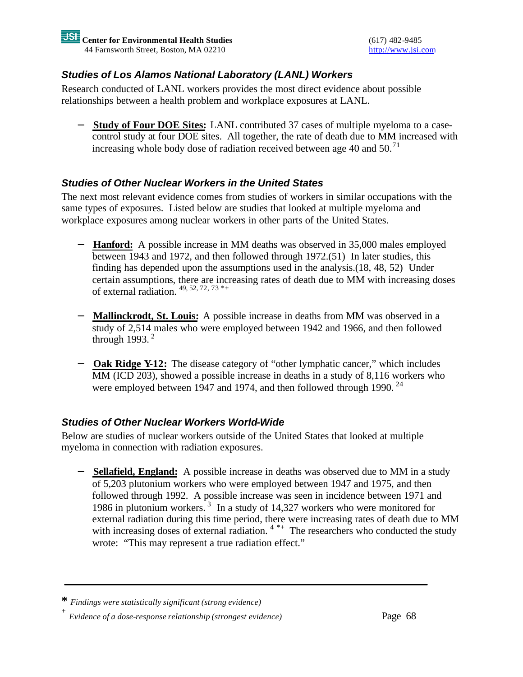### *Studies of Los Alamos National Laboratory (LANL) Workers*

Research conducted of LANL workers provides the most direct evidence about possible relationships between a health problem and workplace exposures at LANL.

− **Study of Four DOE Sites:** LANL contributed 37 cases of multiple myeloma to a casecontrol study at four DOE sites. All together, the rate of death due to MM increased with increasing whole body dose of radiation received between age 40 and 50.<sup>71</sup>

### *Studies of Other Nuclear Workers in the United States*

The next most relevant evidence comes from studies of workers in similar occupations with the same types of exposures. Listed below are studies that looked at multiple myeloma and workplace exposures among nuclear workers in other parts of the United States.

- − **Hanford:** A possible increase in MM deaths was observed in 35,000 males employed between 1943 and 1972, and then followed through 1972.(51) In later studies, this finding has depended upon the assumptions used in the analysis.(18, 48, 52) Under certain assumptions, there are increasing rates of death due to MM with increasing doses of external radiation.  $49, 52, 72, 73$ <sup>\*+</sup>
- − **Mallinckrodt, St. Louis:** A possible increase in deaths from MM was observed in a study of 2,514 males who were employed between 1942 and 1966, and then followed through 1993. $^2$
- − **Oak Ridge Y-12:** The disease category of "other lymphatic cancer," which includes MM (ICD 203), showed a possible increase in deaths in a study of 8,116 workers who were employed between 1947 and 1974, and then followed through 1990.<sup>24</sup>

### *Studies of Other Nuclear Workers World-Wide*

Below are studies of nuclear workers outside of the United States that looked at multiple myeloma in connection with radiation exposures.

− **Sellafield, England:** A possible increase in deaths was observed due to MM in a study of 5,203 plutonium workers who were employed between 1947 and 1975, and then followed through 1992. A possible increase was seen in incidence between 1971 and 1986 in plutonium workers.<sup>3</sup> In a study of 14,327 workers who were monitored for external radiation during this time period, there were increasing rates of death due to MM with increasing doses of external radiation.<sup>4\*+</sup> The researchers who conducted the study wrote: "This may represent a true radiation effect."

**<sup>\*</sup>** *Findings were statistically significant (strong evidence)*

**<sup>+</sup>** *Evidence of a dose-response relationship (strongest evidence)* Page 68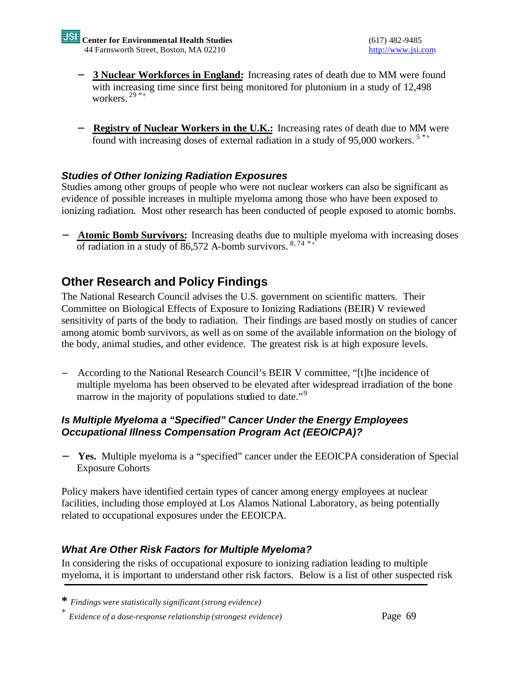- − **3 Nuclear Workforces in England:** Increasing rates of death due to MM were found with increasing time since first being monitored for plutonium in a study of 12,498 workers.  $29$ <sup>\*+</sup>
- − **Registry of Nuclear Workers in the U.K.:** Increasing rates of death due to MM were found with increasing doses of external radiation in a study of 95,000 workers.<sup>5\*+</sup>

### *Studies of Other Ionizing Radiation Exposures*

Studies among other groups of people who were not nuclear workers can also be significant as evidence of possible increases in multiple myeloma among those who have been exposed to ionizing radiation. Most other research has been conducted of people exposed to atomic bombs.

**Atomic Bomb Survivors:** Increasing deaths due to multiple myeloma with increasing doses of radiation in a study of 86,572 A-bomb survivors.  $8,74$  \*+

# **Other Research and Policy Findings**

The National Research Council advises the U.S. government on scientific matters. Their Committee on Biological Effects of Exposure to Ionizing Radiations (BEIR) V reviewed sensitivity of parts of the body to radiation. Their findings are based mostly on studies of cancer among atomic bomb survivors, as well as on some of the available information on the biology of the body, animal studies, and other evidence. The greatest risk is at high exposure levels.

− According to the National Research Council's BEIR V committee, "[t]he incidence of multiple myeloma has been observed to be elevated after widespread irradiation of the bone marrow in the majority of populations studied to date."<sup>9</sup>

### *Is Multiple Myeloma a "Specified" Cancer Under the Energy Employees Occupational Illness Compensation Program Act (EEOICPA)?*

**Yes.** Multiple myeloma is a "specified" cancer under the EEOICPA consideration of Special Exposure Cohorts

Policy makers have identified certain types of cancer among energy employees at nuclear facilities, including those employed at Los Alamos National Laboratory, as being potentially related to occupational exposures under the EEOICPA.

### *What Are Other Risk Factors for Multiple Myeloma?*

In considering the risks of occupational exposure to ionizing radiation leading to multiple myeloma, it is important to understand other risk factors. Below is a list of other suspected risk

**<sup>\*</sup>** *Findings were statistically significant (strong evidence)*

**<sup>+</sup>** *Evidence of a dose-response relationship (strongest evidence)* Page 69